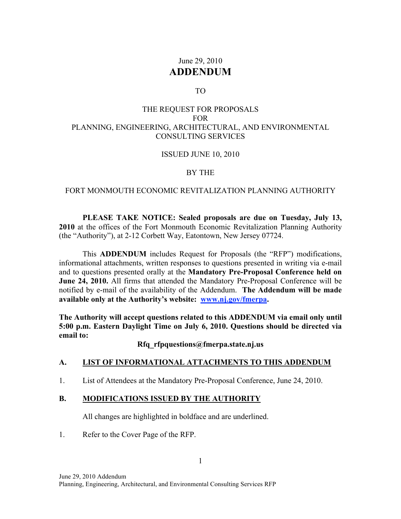# June 29, 2010 **ADDENDUM**

#### TO

# THE REQUEST FOR PROPOSALS FOR PLANNING, ENGINEERING, ARCHITECTURAL, AND ENVIRONMENTAL CONSULTING SERVICES

#### ISSUED JUNE 10, 2010

#### BY THE

#### FORT MONMOUTH ECONOMIC REVITALIZATION PLANNING AUTHORITY

**PLEASE TAKE NOTICE: Sealed proposals are due on Tuesday, July 13, 2010** at the offices of the Fort Monmouth Economic Revitalization Planning Authority (the "Authority"), at 2-12 Corbett Way, Eatontown, New Jersey 07724.

This **ADDENDUM** includes Request for Proposals (the "RFP") modifications, informational attachments, written responses to questions presented in writing via e-mail and to questions presented orally at the **Mandatory Pre-Proposal Conference held on June 24, 2010.** All firms that attended the Mandatory Pre-Proposal Conference will be notified by e-mail of the availability of the Addendum. **The Addendum will be made available only at the Authority's website: www.nj.gov/fmerpa.**

**The Authority will accept questions related to this ADDENDUM via email only until 5:00 p.m. Eastern Daylight Time on July 6, 2010. Questions should be directed via email to:**

**Rfq\_rfpquestions@fmerpa.state.nj.us**

### **A. LIST OF INFORMATIONAL ATTACHMENTS TO THIS ADDENDUM**

1. List of Attendees at the Mandatory Pre-Proposal Conference, June 24, 2010.

### **B. MODIFICATIONS ISSUED BY THE AUTHORITY**

All changes are highlighted in boldface and are underlined.

1. Refer to the Cover Page of the RFP.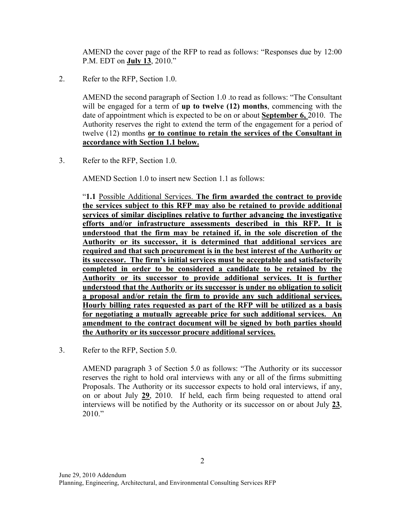AMEND the cover page of the RFP to read as follows: "Responses due by 12:00 P.M. EDT on **July 13**, 2010."

2. Refer to the RFP, Section 1.0.

AMEND the second paragraph of Section 1.0 .to read as follows: "The Consultant will be engaged for a term of **up to twelve (12) months**, commencing with the date of appointment which is expected to be on or about **September 6,** 2010. The Authority reserves the right to extend the term of the engagement for a period of twelve (12) months **or to continue to retain the services of the Consultant in accordance with Section 1.1 below.**

3. Refer to the RFP, Section 1.0.

AMEND Section 1.0 to insert new Section 1.1 as follows:

"**1.1** Possible Additional Services. **The firm awarded the contract to provide the services subject to this RFP may also be retained to provide additional services of similar disciplines relative to further advancing the investigative efforts and/or infrastructure assessments described in this RFP. It is understood that the firm may be retained if, in the sole discretion of the Authority or its successor, it is determined that additional services are required and that such procurement is in the best interest of the Authority or its successor. The firm's initial services must be acceptable and satisfactorily completed in order to be considered a candidate to be retained by the Authority or its successor to provide additional services. It is further understood that the Authority or its successor is under no obligation to solicit a proposal and/or retain the firm to provide any such additional services. Hourly billing rates requested as part of the RFP will be utilized as a basis for negotiating a mutually agreeable price for such additional services. An amendment to the contract document will be signed by both parties should the Authority or its successor procure additional services.**

3. Refer to the RFP, Section 5.0.

AMEND paragraph 3 of Section 5.0 as follows: "The Authority or its successor reserves the right to hold oral interviews with any or all of the firms submitting Proposals. The Authority or its successor expects to hold oral interviews, if any, on or about July **29**, 2010. If held, each firm being requested to attend oral interviews will be notified by the Authority or its successor on or about July **23**, 2010."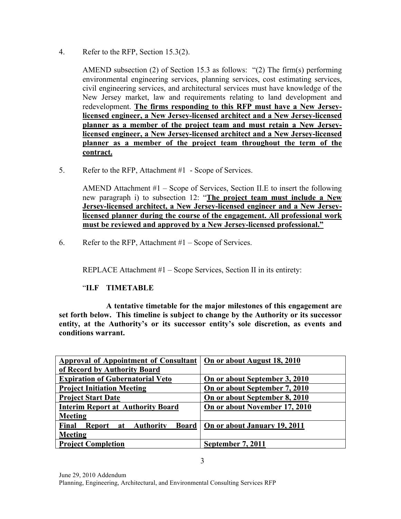4. Refer to the RFP, Section 15.3(2).

AMEND subsection (2) of Section 15.3 as follows: "(2) The firm(s) performing environmental engineering services, planning services, cost estimating services, civil engineering services, and architectural services must have knowledge of the New Jersey market, law and requirements relating to land development and redevelopment. **The firms responding to this RFP must have a New Jerseylicensed engineer, a New Jersey-licensed architect and a New Jersey-licensed planner as a member of the project team and must retain a New Jerseylicensed engineer, a New Jersey-licensed architect and a New Jersey-licensed planner as a member of the project team throughout the term of the contract.** 

5. Refer to the RFP, Attachment #1 - Scope of Services.

AMEND Attachment  $#1$  – Scope of Services, Section II.E to insert the following new paragraph i) to subsection 12: "**The project team must include a New Jersey-licensed architect, a New Jersey-licensed engineer and a New Jerseylicensed planner during the course of the engagement. All professional work must be reviewed and approved by a New Jersey-licensed professional."**

6. Refer to the RFP, Attachment  $#1 -$ Scope of Services.

REPLACE Attachment #1 – Scope Services, Section II in its entirety:

### "**II.F TIMETABLE**

**A tentative timetable for the major milestones of this engagement are set forth below. This timeline is subject to change by the Authority or its successor entity, at the Authority's or its successor entity's sole discretion, as events and conditions warrant.**

| <b>Approval of Appointment of Consultant</b>              | On or about August 18, 2010   |
|-----------------------------------------------------------|-------------------------------|
| of Record by Authority Board                              |                               |
| <b>Expiration of Gubernatorial Veto</b>                   | On or about September 3, 2010 |
| <b>Project Initiation Meeting</b>                         | On or about September 7, 2010 |
| <b>Project Start Date</b>                                 | On or about September 8, 2010 |
| <b>Interim Report at Authority Board</b>                  | On or about November 17, 2010 |
| Meeting                                                   |                               |
| Final<br><b>Authority</b><br>Board<br><b>Report</b><br>at | On or about January 19, 2011  |
| <b>Meeting</b>                                            |                               |
| <b>Project Completion</b>                                 | September 7, 2011             |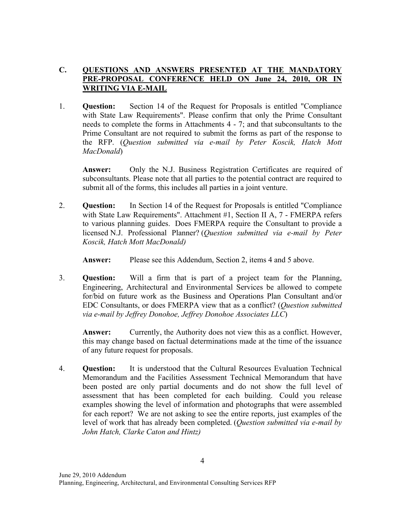# **C. QUESTIONS AND ANSWERS PRESENTED AT THE MANDATORY PRE-PROPOSAL CONFERENCE HELD ON June 24, 2010, OR IN WRITING VIA E-MAIL**

1. **Question:** Section 14 of the Request for Proposals is entitled "Compliance with State Law Requirements". Please confirm that only the Prime Consultant needs to complete the forms in Attachments 4 - 7; and that subconsultants to the Prime Consultant are not required to submit the forms as part of the response to the RFP. (*Question submitted via e-mail by Peter Koscik, Hatch Mott MacDonald*)

**Answer:** Only the N.J. Business Registration Certificates are required of subconsultants. Please note that all parties to the potential contract are required to submit all of the forms, this includes all parties in a joint venture.

2. **Question:** In Section 14 of the Request for Proposals is entitled "Compliance with State Law Requirements". Attachment #1, Section II A, 7 - FMERPA refers to various planning guides. Does FMERPA require the Consultant to provide a licensed N.J. Professional Planner? (*Question submitted via e-mail by Peter Koscik, Hatch Mott MacDonald)*

**Answer:** Please see this Addendum, Section 2, items 4 and 5 above.

3. **Question:** Will a firm that is part of a project team for the Planning, Engineering, Architectural and Environmental Services be allowed to compete for/bid on future work as the Business and Operations Plan Consultant and/or EDC Consultants, or does FMERPA view that as a conflict? (*Question submitted via e-mail by Jeffrey Donohoe, Jeffrey Donohoe Associates LLC*)

**Answer:** Currently, the Authority does not view this as a conflict. However, this may change based on factual determinations made at the time of the issuance of any future request for proposals.

4. **Question:** It is understood that the Cultural Resources Evaluation Technical Memorandum and the Facilities Assessment Technical Memorandum that have been posted are only partial documents and do not show the full level of assessment that has been completed for each building. Could you release examples showing the level of information and photographs that were assembled for each report? We are not asking to see the entire reports, just examples of the level of work that has already been completed. (*Question submitted via e-mail by John Hatch, Clarke Caton and Hintz)*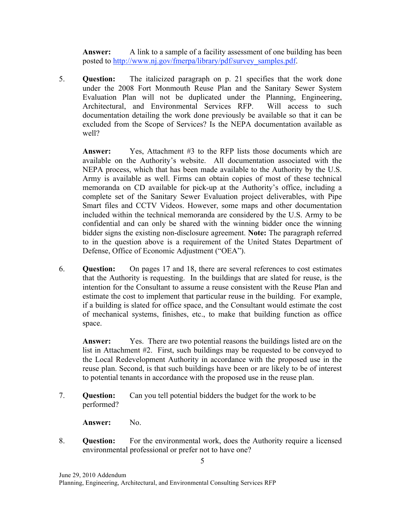**Answer:** A link to a sample of a facility assessment of one building has been posted to http://www.nj.gov/fmerpa/library/pdf/survey\_samples.pdf.

5. **Question:** The italicized paragraph on p. 21 specifies that the work done under the 2008 Fort Monmouth Reuse Plan and the Sanitary Sewer System Evaluation Plan will not be duplicated under the Planning, Engineering, Architectural, and Environmental Services RFP. Will access to such documentation detailing the work done previously be available so that it can be excluded from the Scope of Services? Is the NEPA documentation available as well?

**Answer:** Yes, Attachment #3 to the RFP lists those documents which are available on the Authority's website. All documentation associated with the NEPA process, which that has been made available to the Authority by the U.S. Army is available as well. Firms can obtain copies of most of these technical memoranda on CD available for pick-up at the Authority's office, including a complete set of the Sanitary Sewer Evaluation project deliverables, with Pipe Smart files and CCTV Videos. However, some maps and other documentation included within the technical memoranda are considered by the U.S. Army to be confidential and can only be shared with the winning bidder once the winning bidder signs the existing non-disclosure agreement. **Note:** The paragraph referred to in the question above is a requirement of the United States Department of Defense, Office of Economic Adjustment ("OEA").

6. **Question:** On pages 17 and 18, there are several references to cost estimates that the Authority is requesting. In the buildings that are slated for reuse, is the intention for the Consultant to assume a reuse consistent with the Reuse Plan and estimate the cost to implement that particular reuse in the building. For example, if a building is slated for office space, and the Consultant would estimate the cost of mechanical systems, finishes, etc., to make that building function as office space.

**Answer:** Yes. There are two potential reasons the buildings listed are on the list in Attachment #2. First, such buildings may be requested to be conveyed to the Local Redevelopment Authority in accordance with the proposed use in the reuse plan. Second, is that such buildings have been or are likely to be of interest to potential tenants in accordance with the proposed use in the reuse plan.

7. **Question:** Can you tell potential bidders the budget for the work to be performed?

Answer: No.

8. **Question:** For the environmental work, does the Authority require a licensed environmental professional or prefer not to have one?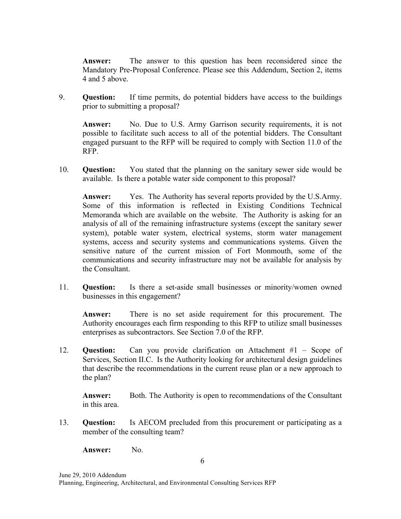**Answer:** The answer to this question has been reconsidered since the Mandatory Pre-Proposal Conference. Please see this Addendum, Section 2, items 4 and 5 above.

9. **Question:** If time permits, do potential bidders have access to the buildings prior to submitting a proposal?

**Answer:** No. Due to U.S. Army Garrison security requirements, it is not possible to facilitate such access to all of the potential bidders. The Consultant engaged pursuant to the RFP will be required to comply with Section 11.0 of the RFP.

10. **Question:** You stated that the planning on the sanitary sewer side would be available. Is there a potable water side component to this proposal?

**Answer:** Yes. The Authority has several reports provided by the U.S.Army. Some of this information is reflected in Existing Conditions Technical Memoranda which are available on the website. The Authority is asking for an analysis of all of the remaining infrastructure systems (except the sanitary sewer system), potable water system, electrical systems, storm water management systems, access and security systems and communications systems. Given the sensitive nature of the current mission of Fort Monmouth, some of the communications and security infrastructure may not be available for analysis by the Consultant.

11. **Question:** Is there a set-aside small businesses or minority/women owned businesses in this engagement?

**Answer:** There is no set aside requirement for this procurement. The Authority encourages each firm responding to this RFP to utilize small businesses enterprises as subcontractors. See Section 7.0 of the RFP.

12. **Question:** Can you provide clarification on Attachment #1 – Scope of Services, Section II.C. Is the Authority looking for architectural design guidelines that describe the recommendations in the current reuse plan or a new approach to the plan?

**Answer:** Both. The Authority is open to recommendations of the Consultant in this area.

13. **Question:** Is AECOM precluded from this procurement or participating as a member of the consulting team?

Answer: No.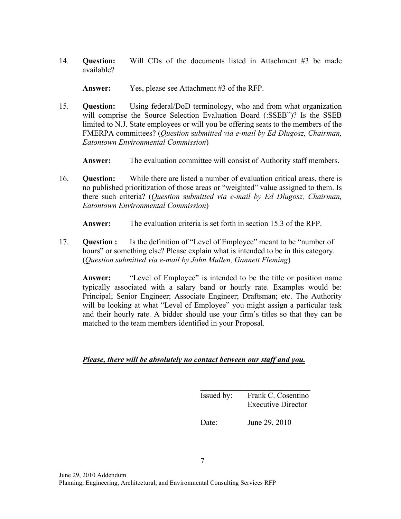14. **Question:** Will CDs of the documents listed in Attachment #3 be made available?

**Answer:** Yes, please see Attachment #3 of the RFP.

15. **Question:** Using federal/DoD terminology, who and from what organization will comprise the Source Selection Evaluation Board (:SSEB")? Is the SSEB limited to N.J. State employees or will you be offering seats to the members of the FMERPA committees? (*Question* s*ubmitted via e-mail by Ed Dlugosz, Chairman, Eatontown Environmental Commission*)

**Answer:** The evaluation committee will consist of Authority staff members.

16. **Question:** While there are listed a number of evaluation critical areas, there is no published prioritization of those areas or "weighted" value assigned to them. Is there such criteria? (*Question* s*ubmitted via e-mail by Ed Dlugosz, Chairman, Eatontown Environmental Commission*)

**Answer:** The evaluation criteria is set forth in section 15.3 of the RFP.

17. **Question :** Is the definition of "Level of Employee" meant to be "number of hours" or something else? Please explain what is intended to be in this category. (*Question submitted via e-mail by John Mullen, Gannett Fleming*)

**Answer:** "Level of Employee" is intended to be the title or position name typically associated with a salary band or hourly rate. Examples would be: Principal; Senior Engineer; Associate Engineer; Draftsman; etc. The Authority will be looking at what "Level of Employee" you might assign a particular task and their hourly rate. A bidder should use your firm's titles so that they can be matched to the team members identified in your Proposal.

#### *Please, there will be absolutely no contact between our staff and you.*

 $\mathcal{L}_\text{max}$  , where  $\mathcal{L}_\text{max}$  , we have the set of the set of the set of the set of the set of the set of the set of the set of the set of the set of the set of the set of the set of the set of the set of the set of Issued by: Frank C. Cosentino Executive Director

Date: June 29, 2010

June 29, 2010 Addendum Planning, Engineering, Architectural, and Environmental Consulting Services RFP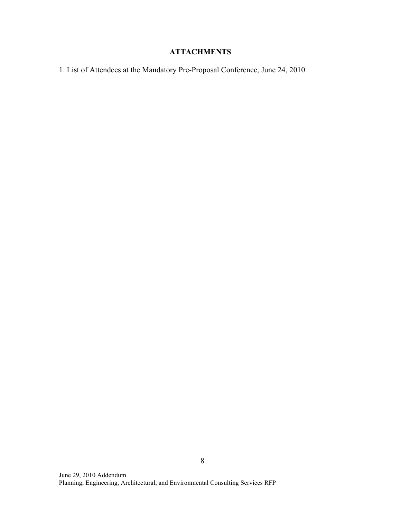# **ATTACHMENTS**

1. List of Attendees at the Mandatory Pre-Proposal Conference, June 24, 2010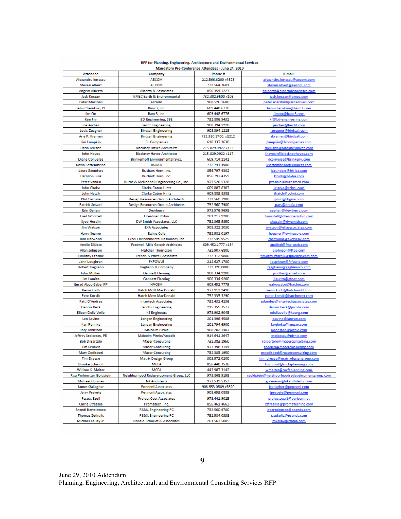|                                                    | RFP for Planning, Engineering, Architecture and Environmental Services |                     |                                               |  |  |  |
|----------------------------------------------------|------------------------------------------------------------------------|---------------------|-----------------------------------------------|--|--|--|
| Mandatory Pre-Conference Attendees - June 24, 2010 |                                                                        |                     |                                               |  |  |  |
| <b>Attendee</b>                                    | Company                                                                | Phone#              | E-mail                                        |  |  |  |
| Alexandru Ionescu                                  | <b>AECOM</b>                                                           | 212.366.6200 x4523  | alexandru.ionescu@aecom.com                   |  |  |  |
| <b>Steven Albert</b>                               | <b>AECOM</b>                                                           | 732.564.3601        | steven.albert@aecom.com                       |  |  |  |
| Angelo Alberto                                     | Alberto & Associates                                                   | 856.354.1223        | aalberto@albertoassociates.com                |  |  |  |
| Jack Koczan                                        | <b>AMEC Earth &amp; Environmental</b>                                  | 732.302.9500 x106   | jack.koczan@amec.com                          |  |  |  |
| <b>Peter Marshall</b>                              | <b>Arcadis</b>                                                         | 908.526.1600        | peter.marshall@arcadis-us.com                 |  |  |  |
| Babu Cherukuri, PE                                 | Banc3, Inc.                                                            | 609.448.6776        | babucherukuri@banc3.com                       |  |  |  |
| Jim Ott                                            | Banc3, Inc.                                                            | 609.448.6776        | jimott@banc3.com                              |  |  |  |
| Ken Fry                                            | <b>BD Engineering, SBE</b>                                             | 732.886.5432        | kf@bd-engineering.com                         |  |  |  |
| <b>Joe Arches</b>                                  | <b>Becht Engineering</b>                                               | 908.394.1228        | jarches@becht.com                             |  |  |  |
| <b>Louis Zuegner</b>                               | <b>Birdsall Engineering</b>                                            | 908.394.1228        | Izuegner@birdsall.com                         |  |  |  |
| Arie P. Kremen                                     | <b>Birdsall Engineering</b>                                            | 732.380.1700, x1212 | akremen@birdsall.com                          |  |  |  |
| <b>Jim Lampkin</b>                                 | <b>BL Companies</b>                                                    | 610.337.3630        | jlampkin@blcompanies.com                      |  |  |  |
| Darin Jellison                                     |                                                                        | 215.829.0922 x133   | djellison@blackneyhayes.com                   |  |  |  |
|                                                    | <b>Blackney Hayes Architects</b>                                       |                     | jhayesjr@blackneyhayes.com                    |  |  |  |
| John Hayes                                         | <b>Blackney Hayes Architects</b>                                       | 215.829.0922 x117   |                                               |  |  |  |
| <b>Diane Converse</b>                              | <b>Brinkerhoff Environmental Svcs.</b>                                 | 609.714.2141        | dconverse@brinkenv.com                        |  |  |  |
| <b>Kevin Settembrino</b>                           | BSA&A                                                                  | 732.741.4900        | ksettembrino@simpers.com                      |  |  |  |
| Laura Saunders                                     | Buchart Horn, Inc.                                                     | 856.797.4302        | Isaunders@bh-ba.com                           |  |  |  |
| <b>Harrison Bink</b>                               | Buchart Horn, Inc.                                                     | 856.797.4359        | hbink@bh-ba.com                               |  |  |  |
| Peter Vahala                                       | Burns & McDonnell Engineering Co., Inc.                                | 973.526.5328        | pvahala@burnsmcd.com                          |  |  |  |
| <b>John Clarke</b>                                 | <b>Clarke Caton Hintz</b>                                              | 609.883.8383        | jclarke@cchnj.com                             |  |  |  |
| John Hatch                                         | <b>Clarke Caton Hintz</b>                                              | 609.883.8383        | jhatch@cchnj.com                              |  |  |  |
| <b>Phil Cacossa</b>                                | <b>Design Resources Group Architects</b>                               | 732.560.7900        | philc@drgaia.com                              |  |  |  |
| <b>Patrick Seiwell</b>                             | <b>Design Resources Group Architects</b>                               | 732.560.7900        | pats@drgaia.com                               |  |  |  |
| <b>Erin Gehan</b>                                  | Dewberry                                                               | 973.576.9698        | egehan@dewberry.com                           |  |  |  |
| <b>Fred Worstell</b>                               | <b>Dresdner Robin</b>                                                  | 201.217.9200        | fworstell@dresdnerrobin.com                   |  |  |  |
| <b>Syed Husain</b>                                 | DW Smith Associates, LLC                                               | 732.363.5850        | shusain@dwsmith.com                           |  |  |  |
| Jim Watson                                         | <b>EKA Associates</b>                                                  | 908.322.2030        | jwatson@ekaassociates.com                     |  |  |  |
| <b>Harry Segner</b>                                | <b>Ewing Cole</b>                                                      | 732.581.0197        | hsegner@ewingcole.com                         |  |  |  |
| <b>Ron Harwood</b>                                 | Excel Environmental Resources, Inc.                                    | 732.545.9525        | rharwood@excelenv.com                         |  |  |  |
| <b>Anelle DiSisto</b>                              | <b>Farewell Mills Gatsch Architects</b>                                | 609.452.1777 x134   | anelled@fmg-arch.com                          |  |  |  |
| Allan Johnson                                      | <b>Fletcher Thompson</b>                                               | 732.907.6800        | ajohnson@ftae.com                             |  |  |  |
| <b>Timothy Czarnik</b>                             | French & Parrell Associate                                             | 732.312.9800        | timothy.czarnik@fpaengineers.com              |  |  |  |
| John Loughran                                      | <b>FXFOWLE</b>                                                         | 212.627.1700        | jloughran@fxfowle.com                         |  |  |  |
| <b>Robert Gagliano</b>                             |                                                                        | 732.320.0880        |                                               |  |  |  |
|                                                    | Gagliano & Company                                                     |                     | rgagliano@gaglianoco.com                      |  |  |  |
| John Mullan                                        | <b>Gannett Fleming</b>                                                 | 908.334.9200        | jmullan@gfnet.com                             |  |  |  |
| Jim Laurita                                        | <b>Gannett Fleming</b>                                                 | 908.334.9200        | jlaurita@gfnet.com                            |  |  |  |
| Emad Abou-Sabe, PP                                 | <b>HACBM</b>                                                           | 609.452.7779        | eabousabe@hacbm.com                           |  |  |  |
| Kevin Koch                                         | <b>Hatch Mott MacDonald</b>                                            | 973.912.2490        | kevin.koch@hatchmott.com                      |  |  |  |
| <b>Pete Kocsik</b>                                 | <b>Hatch Mott MacDonald</b>                                            | 732.333.3290        | peter.kocsik@hatchmott.com                    |  |  |  |
| Patti D'Andrea                                     | <b>Intertech Associates</b>                                            | 732.431.4236        | pdandea@intertechassociates.com               |  |  |  |
| <b>Dennis Keck</b>                                 | <b>Jacobs Engineering</b>                                              | 215.355.3577        | dennis.keck@jacobs.com                        |  |  |  |
| Eileen Della Volle                                 | <b>KS Engineers</b>                                                    | 973.902.9043        | edellavolle@kseng.com                         |  |  |  |
| Len Savino                                         | <b>Langan Engineering</b>                                              | 201.398.4588        | Isavino@langan.com                            |  |  |  |
| <b>Karl Pehnke</b>                                 | <b>Langan Engineering</b>                                              | 201.794.6900        | kpehnke@langan.com                            |  |  |  |
| <b>Rory Johnston</b>                               | <b>Malcolm Pirnie</b>                                                  | 908.202.1407        | riohnston@pirnie.com                          |  |  |  |
| Jeffrey Stoicescu, PE                              | <b>Malcolm Pirnie/Arcadis</b>                                          | 914.641.2647        | jstoicescu@pirnie.com                         |  |  |  |
| <b>Bob DiBartolo</b>                               | <b>Maser Consulting</b>                                                | 732.383.1950        | rdibartolo@maserconsulting.com                |  |  |  |
| <b>Tim O'Brien</b>                                 | <b>Maser Consulting</b>                                                | 973.398.3144        | tobrien@maserconsulting.com                   |  |  |  |
| Mary Codispoti                                     | <b>Maser Consulting</b>                                                | 732.383.1950        | mcodispoti@maserconsuiting.com                |  |  |  |
| <b>Tim Dreese</b>                                  | <b>Matrix Design Group</b>                                             | 303.572.0200        | tim_dreese@matrixdesigngroup.com              |  |  |  |
| <b>Brooke Schmoll</b>                              | <b>MCFA</b>                                                            | 856.448.3536        | bschmoll@mcfaplanning.com                     |  |  |  |
| William S. Meiter                                  | <b>MCFA</b>                                                            | 443.987.3142        | wmeiter@mcfaplanning.com                      |  |  |  |
| Risa Perlmutter Goldstein                          | Neighborhood Redevelopment Group, LLC                                  | 973.868.5158        | rgoldstein@neighborhoodredevelopmentgroup.com |  |  |  |
| Michael Gorman                                     | <b>NK Architects</b>                                                   | 973.539.5353        | gormanm@nkarchitects.com                      |  |  |  |
| <b>James Gallagher</b>                             | Pennoni Associates                                                     | 908.653.0889 x5520  | jgallagher@pennoni.com                        |  |  |  |
| Jerry Prevete                                      | Pennoni Associates                                                     | 908.653.0889        | jprevete@pennoni.com                          |  |  |  |
| <b>Festus Ezeji</b>                                | <b>Project Cost Associates</b>                                         | 973.441.9023        | projectcost1@verizon.net                      |  |  |  |
|                                                    |                                                                        |                     | cstreahle@promatechinc.com                    |  |  |  |
| <b>Carrie Streahle</b>                             | Promatech, Inc.                                                        | 856.461.4663        |                                               |  |  |  |
| <b>Brandi Bartolomeo</b>                           | PS&S, Engineering PC                                                   | 732.560.9700        | bbartolomeo@psands.com                        |  |  |  |
| <b>Thomas Zetkulic</b>                             | PS&S, Engineering PC                                                   | 732.584.0338        | tzetkulic@psands.com                          |  |  |  |
| Michael Kallay Jr.                                 | Ronald Schmidt & Associates                                            | 201.567.5005        | mkallay@rsaaia.com                            |  |  |  |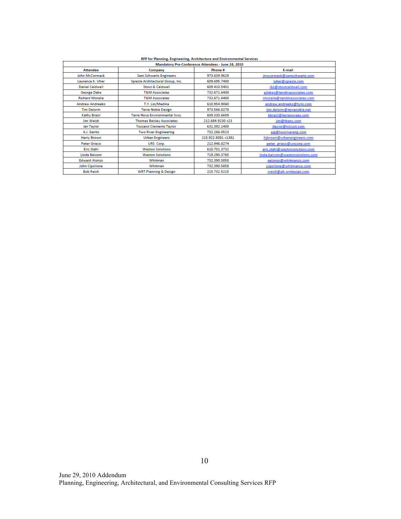|                        | RFP for Planning, Engineering, Architecture and Environmental Services<br>Mandatory Pre-Conference Attendees - June 24, 2010 |                    |                                  |  |  |  |
|------------------------|------------------------------------------------------------------------------------------------------------------------------|--------------------|----------------------------------|--|--|--|
|                        |                                                                                                                              |                    |                                  |  |  |  |
| <b>Attendee</b>        | Company                                                                                                                      | Phone #            | E-mail                           |  |  |  |
| John McCormack         | <b>Sam Schwartz Engineers</b>                                                                                                | 973.639.9629       | imccormack@samschwartz.com       |  |  |  |
| Laurence K. Uher       | Spiezle Architectural Group, Inc.                                                                                            | 609.695.7400       | luher@spiezle.com                |  |  |  |
| <b>Daniel Caldwell</b> | <b>Stout &amp; Caldwell</b>                                                                                                  | 609.410.5401       | dic@stoutcaldwell.com            |  |  |  |
| George Dake            | <b>T&amp;M Associates</b>                                                                                                    | 732.671.6400       | gdakes@tandmassociates.com       |  |  |  |
| <b>Richard Moralle</b> | <b>T&amp;M Associates</b>                                                                                                    | 732.671.6400       | rmoralle@tandmassociates.com     |  |  |  |
| Andrew Andreeko        | T.Y. Lin/Medina                                                                                                              | 610.954.9060       | andrew.andreeko@tylin.com        |  |  |  |
| <b>Tim Delorm</b>      | <b>Terra Noble Design</b>                                                                                                    | 973.566.0278       | tim.delorm@terranoble.net        |  |  |  |
| Kathy Brazil           | <b>Terra Nova Environmental Sycs.</b>                                                                                        | 609.330.6609       | kbrazil@terranovaes.com          |  |  |  |
| Jim Welsh              | <b>Thomas Balsley Associates</b>                                                                                             | 212.684.9230 x23   | jim@tbany.com                    |  |  |  |
| lan Taylor             | <b>Toscano Clements Taylor</b>                                                                                               | 631.392.1400       | itaylor@tctcost.com              |  |  |  |
| A.J. Garito            | <b>Two River Engineering</b>                                                                                                 | 732.266.0523       | ajg@tworivereng.com              |  |  |  |
| Harry Brown            | <b>Urban Engineers</b>                                                                                                       | 215.922.8081 x1381 | hjbrown@urbanengineers.com       |  |  |  |
| <b>Peter Grieco</b>    | URS Corp.                                                                                                                    | 212.946.8274       | peter grieco@urscorp.com         |  |  |  |
| <b>Eric Stahl</b>      | <b>Weston Solutions</b>                                                                                                      | 610.701.3732       | eric.stahl@westonsolutions.com   |  |  |  |
| Linda Balcom           | <b>Weston Solutions</b>                                                                                                      | 719.290.3765       | linda.balcom@westonsolutions.com |  |  |  |
| <b>Edward Alonso</b>   | Whitman                                                                                                                      | 732.390.5858       | ealonso@whitmanco.com            |  |  |  |
| John Cipollone         | Whitman                                                                                                                      | 732.390.5858       | jcipollone@whitmanco.com         |  |  |  |
| <b>Bob Reich</b>       | <b>WRT Planning &amp; Design</b>                                                                                             | 215.732.5215       | rreich@ph.wrtdesign.com          |  |  |  |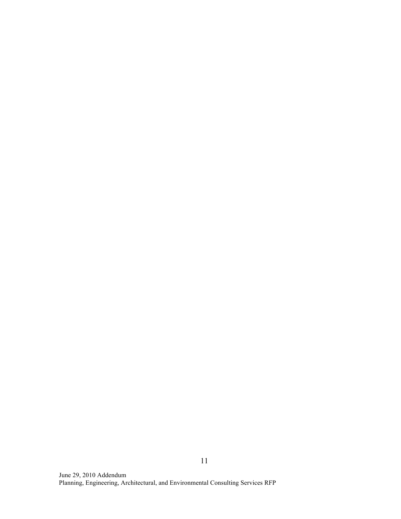June 29, 2010 Addendum Planning, Engineering, Architectural, and Environmental Consulting Services RFP